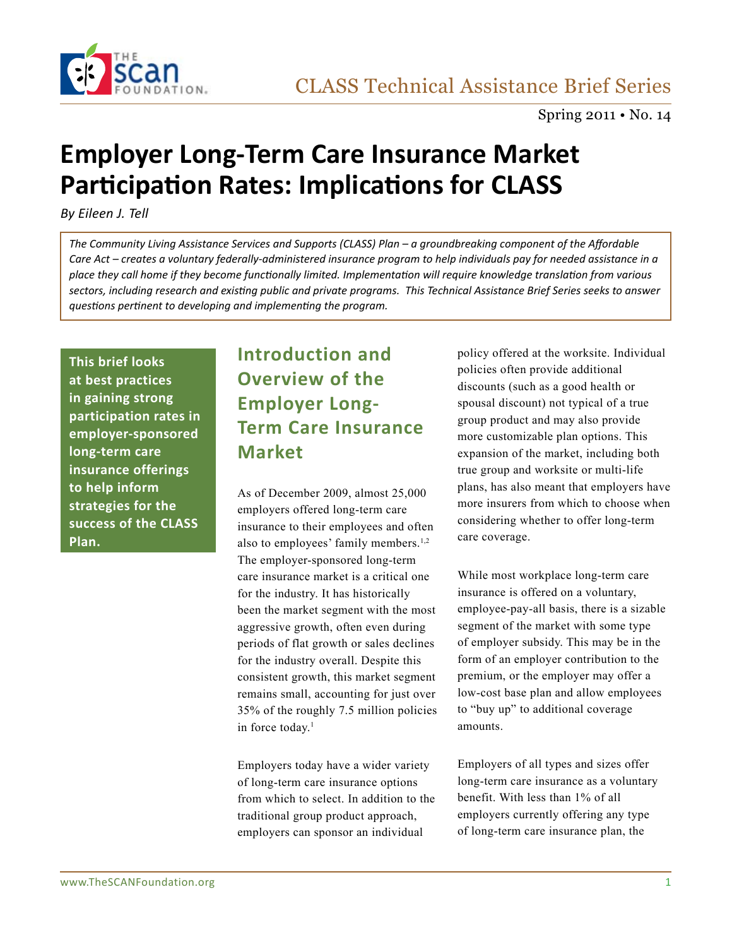

# **Employer Long-Term Care Insurance Market Participation Rates: Implications for CLASS**

*By Eileen J. Tell*

*The Community Living Assistance Services and Supports (CLASS) Plan – a groundbreaking component of the Affordable Care Act – creates a voluntary federally-administered insurance program to help individuals pay for needed assistance in a place they call home if they become functionally limited. Implementation will require knowledge translation from various sectors, including research and existing public and private programs. This Technical Assistance Brief Series seeks to answer questions pertinent to developing and implementing the program.* 

**This brief looks at best practices in gaining strong participation rates in employer-sponsored long-term care insurance offerings to help inform strategies for the success of the CLASS Plan.**

### **Introduction and Overview of the Employer Long-Term Care Insurance Market**

As of December 2009, almost 25,000 employers offered long-term care insurance to their employees and often also to employees' family members.<sup>1,2</sup> The employer-sponsored long-term care insurance market is a critical one for the industry. It has historically been the market segment with the most aggressive growth, often even during periods of flat growth or sales declines for the industry overall. Despite this consistent growth, this market segment remains small, accounting for just over 35% of the roughly 7.5 million policies in force today.<sup>1</sup>

Employers today have a wider variety of long-term care insurance options from which to select. In addition to the traditional group product approach, employers can sponsor an individual

policy offered at the worksite. Individual policies often provide additional discounts (such as a good health or spousal discount) not typical of a true group product and may also provide more customizable plan options. This expansion of the market, including both true group and worksite or multi-life plans, has also meant that employers have more insurers from which to choose when considering whether to offer long-term care coverage.

While most workplace long-term care insurance is offered on a voluntary, employee-pay-all basis, there is a sizable segment of the market with some type of employer subsidy. This may be in the form of an employer contribution to the premium, or the employer may offer a low-cost base plan and allow employees to "buy up" to additional coverage amounts.

Employers of all types and sizes offer long-term care insurance as a voluntary benefit. With less than 1% of all employers currently offering any type of long-term care insurance plan, the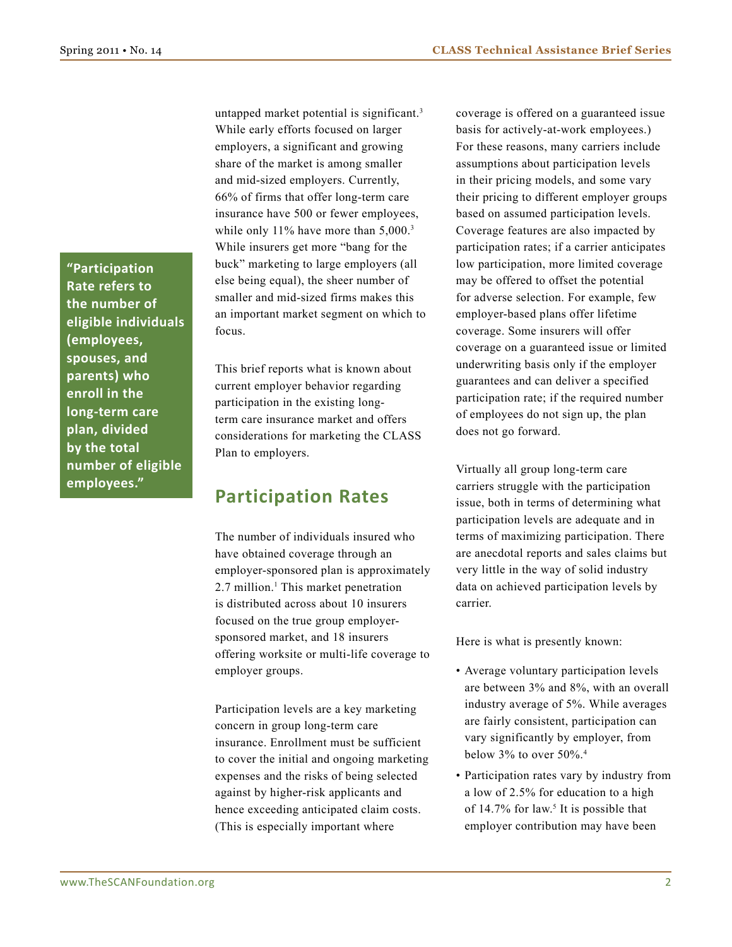**"Participation Rate refers to the number of eligible individuals (employees, spouses, and parents) who enroll in the long-term care plan, divided by the total number of eligible employees."**

untapped market potential is significant.<sup>3</sup> While early efforts focused on larger employers, a significant and growing share of the market is among smaller and mid-sized employers. Currently, 66% of firms that offer long-term care insurance have 500 or fewer employees, while only 11% have more than 5,000.<sup>3</sup> While insurers get more "bang for the buck" marketing to large employers (all else being equal), the sheer number of smaller and mid-sized firms makes this an important market segment on which to focus.

This brief reports what is known about current employer behavior regarding participation in the existing longterm care insurance market and offers considerations for marketing the CLASS Plan to employers.

### **Participation Rates**

The number of individuals insured who have obtained coverage through an employer-sponsored plan is approximately 2.7 million.<sup>1</sup> This market penetration is distributed across about 10 insurers focused on the true group employersponsored market, and 18 insurers offering worksite or multi-life coverage to employer groups.

Participation levels are a key marketing concern in group long-term care insurance. Enrollment must be sufficient to cover the initial and ongoing marketing expenses and the risks of being selected against by higher-risk applicants and hence exceeding anticipated claim costs. (This is especially important where

coverage is offered on a guaranteed issue basis for actively-at-work employees.) For these reasons, many carriers include assumptions about participation levels in their pricing models, and some vary their pricing to different employer groups based on assumed participation levels. Coverage features are also impacted by participation rates; if a carrier anticipates low participation, more limited coverage may be offered to offset the potential for adverse selection. For example, few employer-based plans offer lifetime coverage. Some insurers will offer coverage on a guaranteed issue or limited underwriting basis only if the employer guarantees and can deliver a specified participation rate; if the required number of employees do not sign up, the plan does not go forward.

Virtually all group long-term care carriers struggle with the participation issue, both in terms of determining what participation levels are adequate and in terms of maximizing participation. There are anecdotal reports and sales claims but very little in the way of solid industry data on achieved participation levels by carrier.

Here is what is presently known:

- • Average voluntary participation levels are between 3% and 8%, with an overall industry average of 5%. While averages are fairly consistent, participation can vary significantly by employer, from below  $3\%$  to over  $50\%$ .<sup>4</sup>
- • Participation rates vary by industry from a low of 2.5% for education to a high of  $14.7\%$  for law.<sup>5</sup> It is possible that employer contribution may have been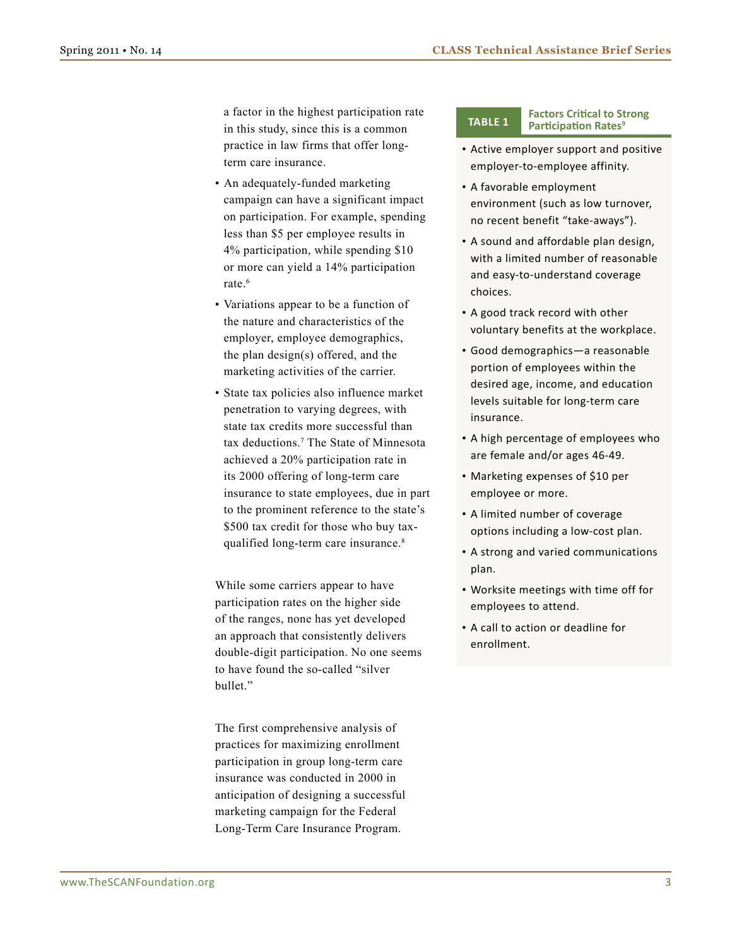a factor in the highest participation rate in this study, since this is a common practice in law firms that offer longterm care insurance.

- • An adequately-funded marketing campaign can have a significant impact on participation. For example, spending less than \$5 per employee results in 4% participation, while spending \$10 or more can yield a 14% participation rate.<sup>6</sup>
- Variations appear to be a function of the nature and characteristics of the employer, employee demographics, the plan design(s) offered, and the marketing activities of the carrier.
- • State tax policies also influence market penetration to varying degrees, with state tax credits more successful than tax deductions.7 The State of Minnesota achieved a 20% participation rate in its 2000 offering of long-term care insurance to state employees, due in part to the prominent reference to the state's \$500 tax credit for those who buy taxqualified long-term care insurance.<sup>8</sup>

While some carriers appear to have participation rates on the higher side of the ranges, none has yet developed an approach that consistently delivers double-digit participation. No one seems to have found the so-called "silver bullet."

The first comprehensive analysis of practices for maximizing enrollment participation in group long-term care insurance was conducted in 2000 in anticipation of designing a successful marketing campaign for the Federal Long-Term Care Insurance Program.

#### **Factors Critical to Strong Participation Rates Ratio**

- • Active employer support and positive employer-to-employee affinity.
- • A favorable employment environment (such as low turnover, no recent benefit "take-aways").
- • A sound and affordable plan design, with a limited number of reasonable and easy-to-understand coverage choices.
- A good track record with other voluntary benefits at the workplace.
- • Good demographics—a reasonable portion of employees within the desired age, income, and education levels suitable for long-term care insurance.
- A high percentage of employees who are female and/or ages 46-49.
- Marketing expenses of \$10 per employee or more.
- A limited number of coverage options including a low-cost plan.
- • A strong and varied communications plan.
- • Worksite meetings with time off for employees to attend.
- • A call to action or deadline for enrollment.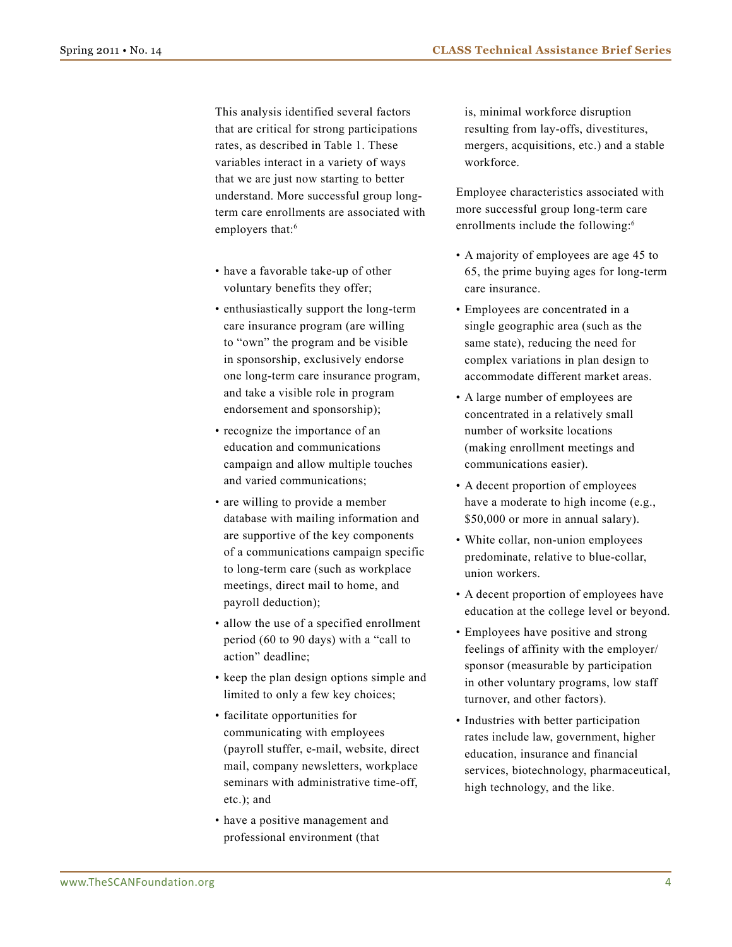This analysis identified several factors that are critical for strong participations rates, as described in Table 1. These variables interact in a variety of ways that we are just now starting to better understand. More successful group longterm care enrollments are associated with employers that:<sup>6</sup>

- have a favorable take-up of other voluntary benefits they offer;
- enthusiastically support the long-term care insurance program (are willing to "own" the program and be visible in sponsorship, exclusively endorse one long-term care insurance program, and take a visible role in program endorsement and sponsorship);
- recognize the importance of an education and communications campaign and allow multiple touches and varied communications;
- are willing to provide a member database with mailing information and are supportive of the key components of a communications campaign specific to long-term care (such as workplace meetings, direct mail to home, and payroll deduction);
- allow the use of a specified enrollment period (60 to 90 days) with a "call to action" deadline;
- keep the plan design options simple and limited to only a few key choices;
- facilitate opportunities for communicating with employees (payroll stuffer, e-mail, website, direct mail, company newsletters, workplace seminars with administrative time-off, etc.); and
- have a positive management and professional environment (that

is, minimal workforce disruption resulting from lay-offs, divestitures, mergers, acquisitions, etc.) and a stable workforce.

Employee characteristics associated with more successful group long-term care enrollments include the following:<sup>6</sup>

- A majority of employees are age 45 to 65, the prime buying ages for long-term care insurance.
- • Employees are concentrated in a single geographic area (such as the same state), reducing the need for complex variations in plan design to accommodate different market areas.
- A large number of employees are concentrated in a relatively small number of worksite locations (making enrollment meetings and communications easier).
- A decent proportion of employees have a moderate to high income (e.g., \$50,000 or more in annual salary).
- White collar, non-union employees predominate, relative to blue-collar, union workers.
- • A decent proportion of employees have education at the college level or beyond.
- Employees have positive and strong feelings of affinity with the employer/ sponsor (measurable by participation in other voluntary programs, low staff turnover, and other factors).
- Industries with better participation rates include law, government, higher education, insurance and financial services, biotechnology, pharmaceutical, high technology, and the like.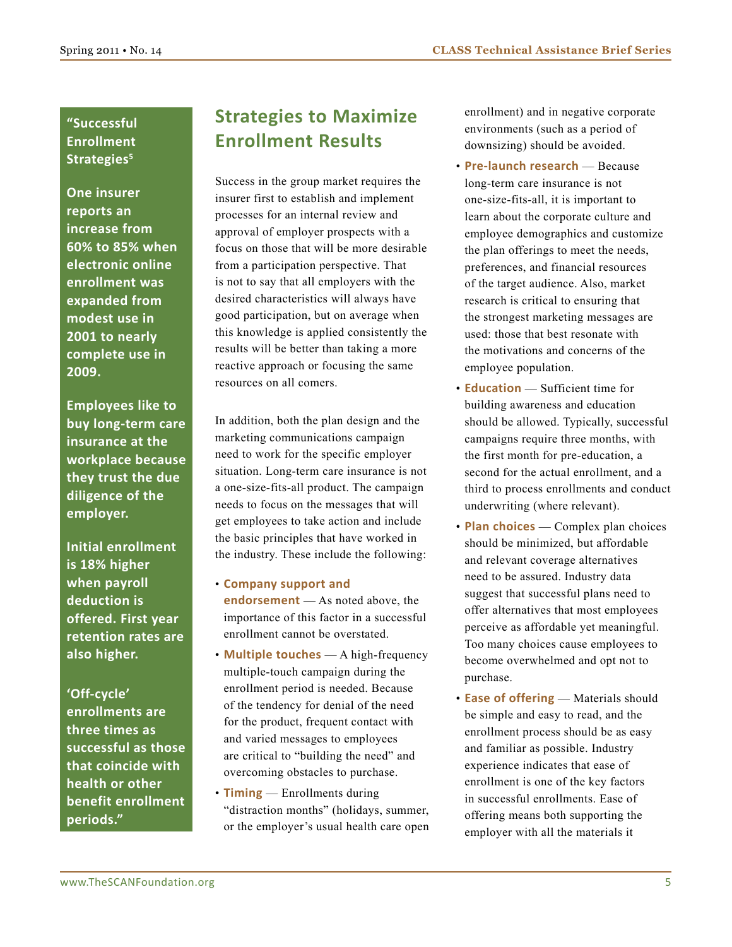### **"Successful Enrollment**  Strategies<sup>5</sup>

**One insurer reports an increase from 60% to 85% when electronic online enrollment was expanded from modest use in 2001 to nearly complete use in 2009.** 

**Employees like to buy long-term care insurance at the workplace because they trust the due diligence of the employer.**

**Initial enrollment is 18% higher when payroll deduction is offered. First year retention rates are also higher.**

**'Off-cycle' enrollments are three times as successful as those that coincide with health or other benefit enrollment periods."** 

### **Strategies to Maximize Enrollment Results**

Success in the group market requires the insurer first to establish and implement processes for an internal review and approval of employer prospects with a focus on those that will be more desirable from a participation perspective. That is not to say that all employers with the desired characteristics will always have good participation, but on average when this knowledge is applied consistently the results will be better than taking a more reactive approach or focusing the same resources on all comers.

In addition, both the plan design and the marketing communications campaign need to work for the specific employer situation. Long-term care insurance is not a one-size-fits-all product. The campaign needs to focus on the messages that will get employees to take action and include the basic principles that have worked in the industry. These include the following:

- • **Company support and endorsement** — As noted above, the importance of this factor in a successful enrollment cannot be overstated.
- • **Multiple touches**  A high-frequency multiple-touch campaign during the enrollment period is needed. Because of the tendency for denial of the need for the product, frequent contact with and varied messages to employees are critical to "building the need" and overcoming obstacles to purchase.
- **Timing** Enrollments during "distraction months" (holidays, summer, or the employer's usual health care open

enrollment) and in negative corporate environments (such as a period of downsizing) should be avoided.

- • **Pre-launch research**  Because long-term care insurance is not one-size-fits-all, it is important to learn about the corporate culture and employee demographics and customize the plan offerings to meet the needs, preferences, and financial resources of the target audience. Also, market research is critical to ensuring that the strongest marketing messages are used: those that best resonate with the motivations and concerns of the employee population.
- **Education** Sufficient time for building awareness and education should be allowed. Typically, successful campaigns require three months, with the first month for pre-education, a second for the actual enrollment, and a third to process enrollments and conduct underwriting (where relevant).
- • **Plan choices**  Complex plan choices should be minimized, but affordable and relevant coverage alternatives need to be assured. Industry data suggest that successful plans need to offer alternatives that most employees perceive as affordable yet meaningful. Too many choices cause employees to become overwhelmed and opt not to purchase.
- **Ease of offering** Materials should be simple and easy to read, and the enrollment process should be as easy and familiar as possible. Industry experience indicates that ease of enrollment is one of the key factors in successful enrollments. Ease of offering means both supporting the employer with all the materials it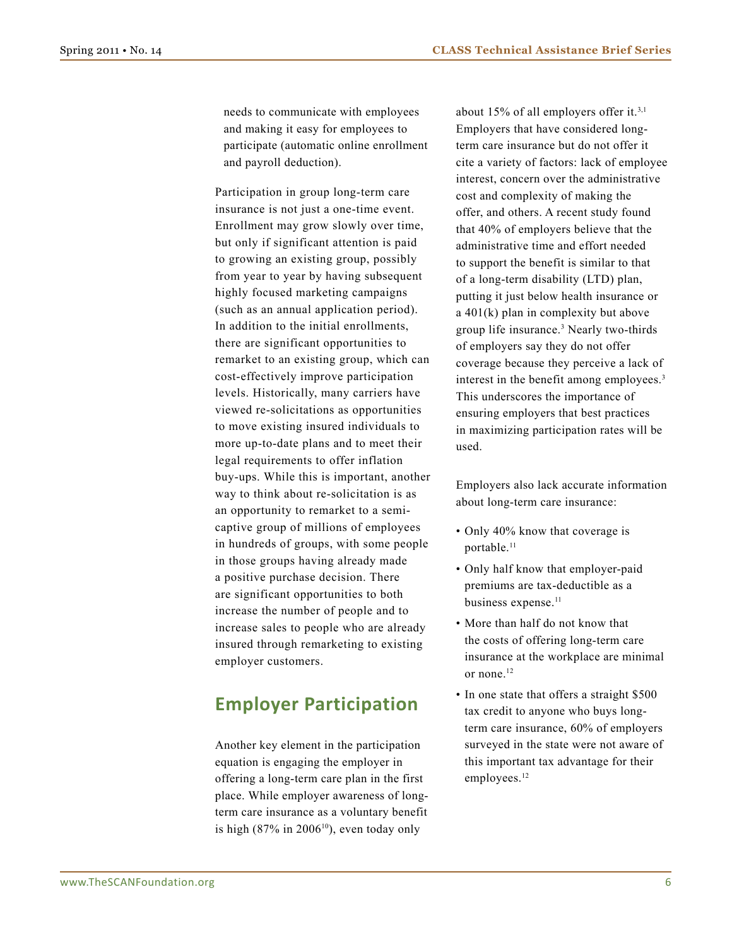needs to communicate with employees and making it easy for employees to participate (automatic online enrollment and payroll deduction).

Participation in group long-term care insurance is not just a one-time event. Enrollment may grow slowly over time, but only if significant attention is paid to growing an existing group, possibly from year to year by having subsequent highly focused marketing campaigns (such as an annual application period). In addition to the initial enrollments, there are significant opportunities to remarket to an existing group, which can cost-effectively improve participation levels. Historically, many carriers have viewed re-solicitations as opportunities to move existing insured individuals to more up-to-date plans and to meet their legal requirements to offer inflation buy-ups. While this is important, another way to think about re-solicitation is as an opportunity to remarket to a semicaptive group of millions of employees in hundreds of groups, with some people in those groups having already made a positive purchase decision. There are significant opportunities to both increase the number of people and to increase sales to people who are already insured through remarketing to existing employer customers.

### **Employer Participation**

Another key element in the participation equation is engaging the employer in offering a long-term care plan in the first place. While employer awareness of longterm care insurance as a voluntary benefit is high  $(87\%$  in  $2006^{10})$ , even today only

about 15% of all employers offer it.3,1 Employers that have considered longterm care insurance but do not offer it cite a variety of factors: lack of employee interest, concern over the administrative cost and complexity of making the offer, and others. A recent study found that 40% of employers believe that the administrative time and effort needed to support the benefit is similar to that of a long-term disability (LTD) plan, putting it just below health insurance or a 401(k) plan in complexity but above group life insurance.3 Nearly two-thirds of employers say they do not offer coverage because they perceive a lack of interest in the benefit among employees.<sup>3</sup> This underscores the importance of ensuring employers that best practices in maximizing participation rates will be used.

Employers also lack accurate information about long-term care insurance:

- Only 40% know that coverage is portable.<sup>11</sup>
- Only half know that employer-paid premiums are tax-deductible as a business expense.<sup>11</sup>
- More than half do not know that the costs of offering long-term care insurance at the workplace are minimal or none.12
- In one state that offers a straight \$500 tax credit to anyone who buys longterm care insurance, 60% of employers surveyed in the state were not aware of this important tax advantage for their employees.<sup>12</sup>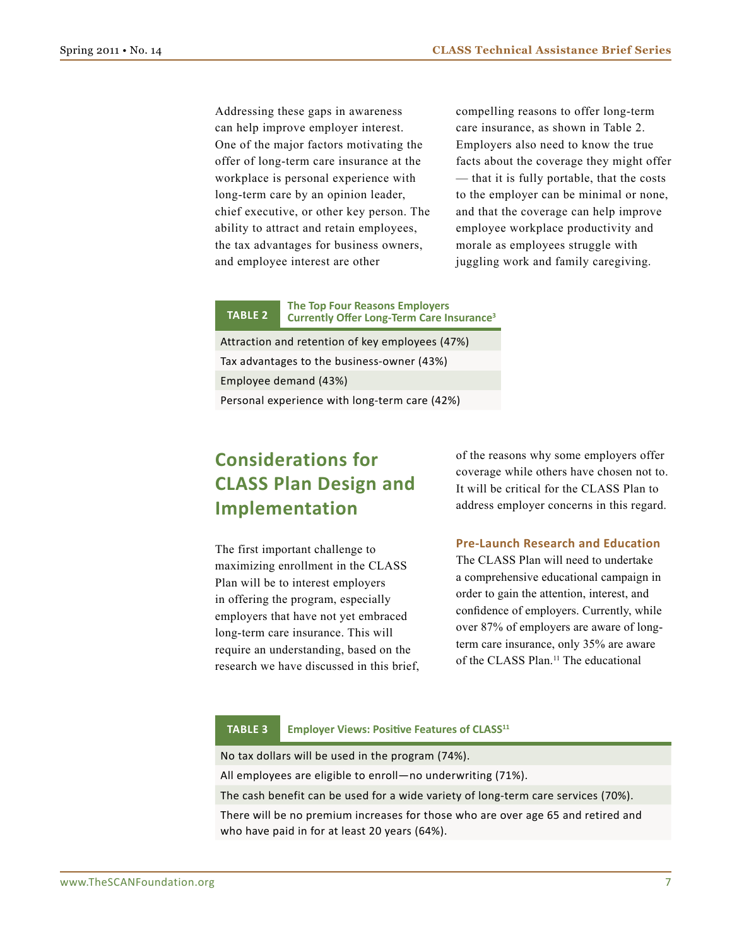Addressing these gaps in awareness can help improve employer interest. One of the major factors motivating the offer of long-term care insurance at the workplace is personal experience with long-term care by an opinion leader, chief executive, or other key person. The ability to attract and retain employees, the tax advantages for business owners, and employee interest are other

compelling reasons to offer long-term care insurance, as shown in Table 2. Employers also need to know the true facts about the coverage they might offer — that it is fully portable, that the costs to the employer can be minimal or none, and that the coverage can help improve employee workplace productivity and morale as employees struggle with juggling work and family caregiving.

#### **The Top Four Reasons Employers Currently Offer Long-Term Care Insurance Table 2 <sup>3</sup>**

Attraction and retention of key employees (47%) Tax advantages to the business-owner (43%) Employee demand (43%)

Personal experience with long-term care (42%)

## **Considerations for CLASS Plan Design and Implementation**

The first important challenge to maximizing enrollment in the CLASS Plan will be to interest employers in offering the program, especially employers that have not yet embraced long-term care insurance. This will require an understanding, based on the research we have discussed in this brief, of the reasons why some employers offer coverage while others have chosen not to. It will be critical for the CLASS Plan to address employer concerns in this regard.

#### **Pre-Launch Research and Education**

The CLASS Plan will need to undertake a comprehensive educational campaign in order to gain the attention, interest, and confidence of employers. Currently, while over 87% of employers are aware of longterm care insurance, only 35% are aware of the CLASS Plan.11 The educational

#### **Employer Views: Positive Features of CLASS<sup>11</sup> Table 3**

No tax dollars will be used in the program (74%).

All employees are eligible to enroll—no underwriting (71%).

The cash benefit can be used for a wide variety of long-term care services (70%).

There will be no premium increases for those who are over age 65 and retired and who have paid in for at least 20 years (64%).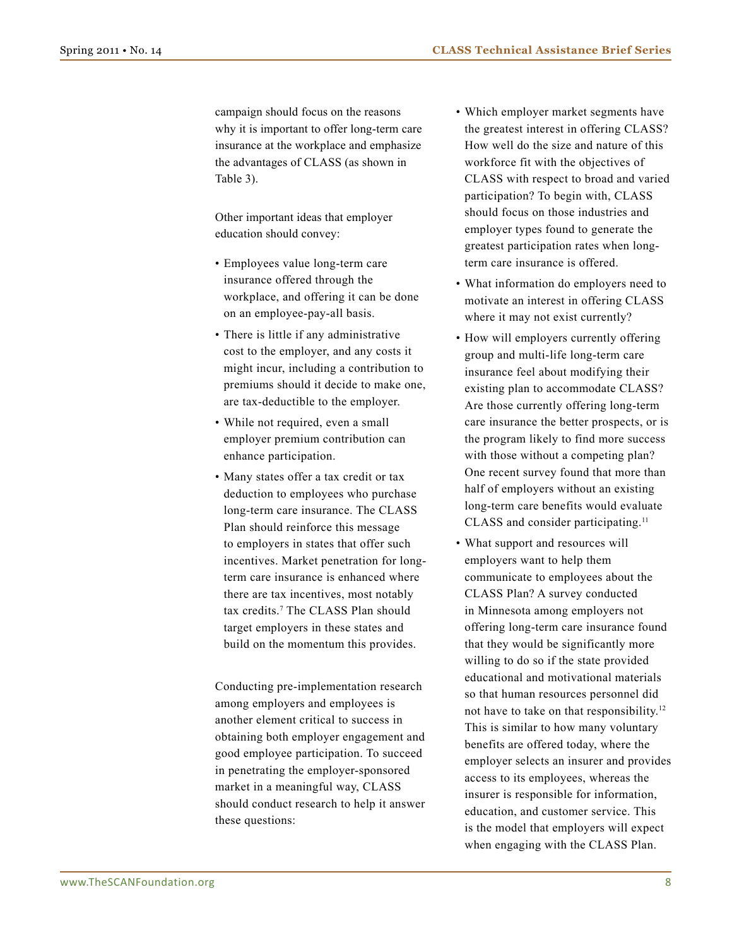campaign should focus on the reasons why it is important to offer long-term care insurance at the workplace and emphasize the advantages of CLASS (as shown in Table 3).

Other important ideas that employer education should convey:

- • Employees value long-term care insurance offered through the workplace, and offering it can be done on an employee-pay-all basis.
- There is little if any administrative cost to the employer, and any costs it might incur, including a contribution to premiums should it decide to make one, are tax-deductible to the employer.
- While not required, even a small employer premium contribution can enhance participation.
- • Many states offer a tax credit or tax deduction to employees who purchase long-term care insurance. The CLASS Plan should reinforce this message to employers in states that offer such incentives. Market penetration for longterm care insurance is enhanced where there are tax incentives, most notably tax credits.7 The CLASS Plan should target employers in these states and build on the momentum this provides.

Conducting pre-implementation research among employers and employees is another element critical to success in obtaining both employer engagement and good employee participation. To succeed in penetrating the employer-sponsored market in a meaningful way, CLASS should conduct research to help it answer these questions:

- Which employer market segments have the greatest interest in offering CLASS? How well do the size and nature of this workforce fit with the objectives of CLASS with respect to broad and varied participation? To begin with, CLASS should focus on those industries and employer types found to generate the greatest participation rates when longterm care insurance is offered.
- What information do employers need to motivate an interest in offering CLASS where it may not exist currently?
- How will employers currently offering group and multi-life long-term care insurance feel about modifying their existing plan to accommodate CLASS? Are those currently offering long-term care insurance the better prospects, or is the program likely to find more success with those without a competing plan? One recent survey found that more than half of employers without an existing long-term care benefits would evaluate CLASS and consider participating.11
- What support and resources will employers want to help them communicate to employees about the CLASS Plan? A survey conducted in Minnesota among employers not offering long-term care insurance found that they would be significantly more willing to do so if the state provided educational and motivational materials so that human resources personnel did not have to take on that responsibility.12 This is similar to how many voluntary benefits are offered today, where the employer selects an insurer and provides access to its employees, whereas the insurer is responsible for information, education, and customer service. This is the model that employers will expect when engaging with the CLASS Plan.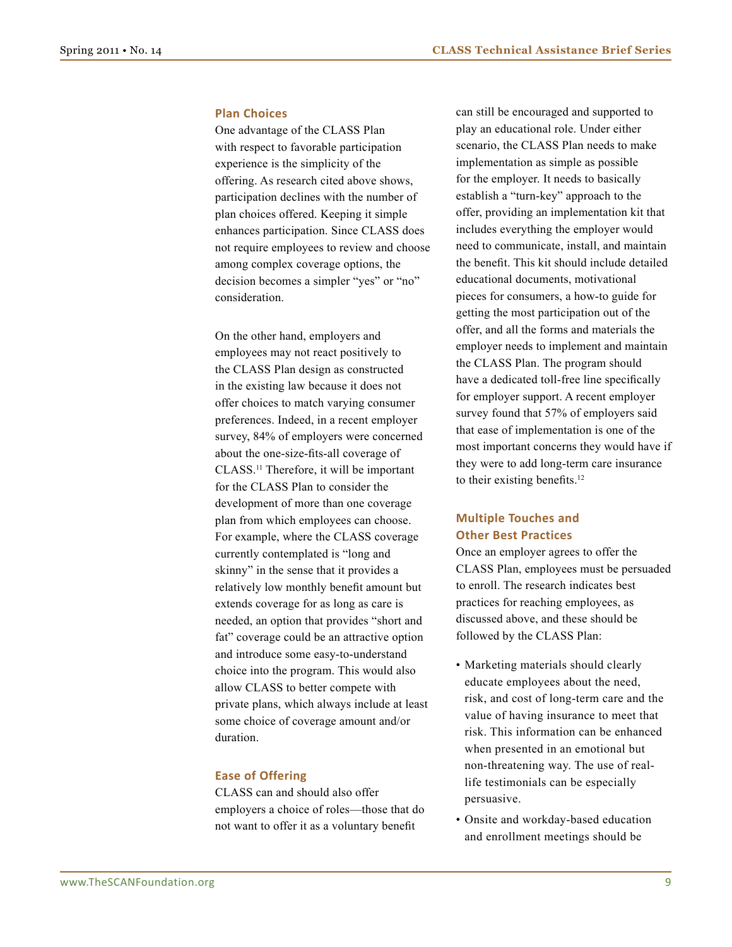#### **Plan Choices**

One advantage of the CLASS Plan with respect to favorable participation experience is the simplicity of the offering. As research cited above shows, participation declines with the number of plan choices offered. Keeping it simple enhances participation. Since CLASS does not require employees to review and choose among complex coverage options, the decision becomes a simpler "yes" or "no" consideration.

On the other hand, employers and employees may not react positively to the CLASS Plan design as constructed in the existing law because it does not offer choices to match varying consumer preferences. Indeed, in a recent employer survey, 84% of employers were concerned about the one-size-fits-all coverage of CLASS.11 Therefore, it will be important for the CLASS Plan to consider the development of more than one coverage plan from which employees can choose. For example, where the CLASS coverage currently contemplated is "long and skinny" in the sense that it provides a relatively low monthly benefit amount but extends coverage for as long as care is needed, an option that provides "short and fat" coverage could be an attractive option and introduce some easy-to-understand choice into the program. This would also allow CLASS to better compete with private plans, which always include at least some choice of coverage amount and/or duration.

#### **Ease of Offering**

CLASS can and should also offer employers a choice of roles—those that do not want to offer it as a voluntary benefit

can still be encouraged and supported to play an educational role. Under either scenario, the CLASS Plan needs to make implementation as simple as possible for the employer. It needs to basically establish a "turn-key" approach to the offer, providing an implementation kit that includes everything the employer would need to communicate, install, and maintain the benefit. This kit should include detailed educational documents, motivational pieces for consumers, a how-to guide for getting the most participation out of the offer, and all the forms and materials the employer needs to implement and maintain the CLASS Plan. The program should have a dedicated toll-free line specifically for employer support. A recent employer survey found that 57% of employers said that ease of implementation is one of the most important concerns they would have if they were to add long-term care insurance to their existing benefits.<sup>12</sup>

#### **Multiple Touches and Other Best Practices**

Once an employer agrees to offer the CLASS Plan, employees must be persuaded to enroll. The research indicates best practices for reaching employees, as discussed above, and these should be followed by the CLASS Plan:

- • Marketing materials should clearly educate employees about the need, risk, and cost of long-term care and the value of having insurance to meet that risk. This information can be enhanced when presented in an emotional but non-threatening way. The use of reallife testimonials can be especially persuasive.
- Onsite and workday-based education and enrollment meetings should be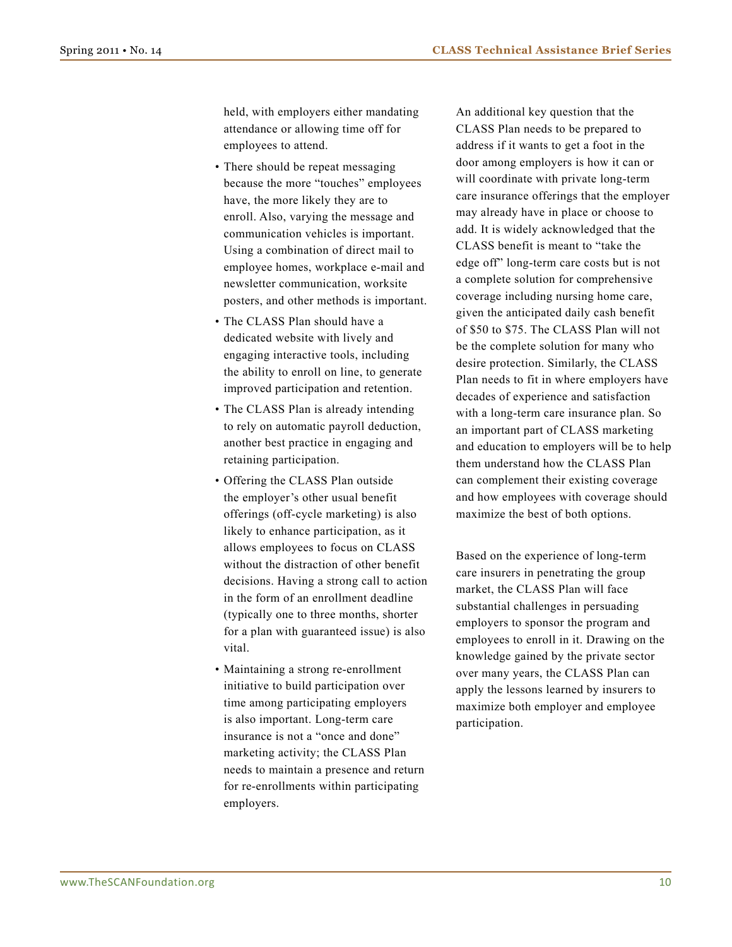held, with employers either mandating attendance or allowing time off for employees to attend.

- There should be repeat messaging because the more "touches" employees have, the more likely they are to enroll. Also, varying the message and communication vehicles is important. Using a combination of direct mail to employee homes, workplace e-mail and newsletter communication, worksite posters, and other methods is important.
- The CLASS Plan should have a dedicated website with lively and engaging interactive tools, including the ability to enroll on line, to generate improved participation and retention.
- The CLASS Plan is already intending to rely on automatic payroll deduction, another best practice in engaging and retaining participation.
- Offering the CLASS Plan outside the employer's other usual benefit offerings (off-cycle marketing) is also likely to enhance participation, as it allows employees to focus on CLASS without the distraction of other benefit decisions. Having a strong call to action in the form of an enrollment deadline (typically one to three months, shorter for a plan with guaranteed issue) is also vital.
- Maintaining a strong re-enrollment initiative to build participation over time among participating employers is also important. Long-term care insurance is not a "once and done" marketing activity; the CLASS Plan needs to maintain a presence and return for re-enrollments within participating employers.

An additional key question that the CLASS Plan needs to be prepared to address if it wants to get a foot in the door among employers is how it can or will coordinate with private long-term care insurance offerings that the employer may already have in place or choose to add. It is widely acknowledged that the CLASS benefit is meant to "take the edge off" long-term care costs but is not a complete solution for comprehensive coverage including nursing home care, given the anticipated daily cash benefit of \$50 to \$75. The CLASS Plan will not be the complete solution for many who desire protection. Similarly, the CLASS Plan needs to fit in where employers have decades of experience and satisfaction with a long-term care insurance plan. So an important part of CLASS marketing and education to employers will be to help them understand how the CLASS Plan can complement their existing coverage and how employees with coverage should maximize the best of both options.

Based on the experience of long-term care insurers in penetrating the group market, the CLASS Plan will face substantial challenges in persuading employers to sponsor the program and employees to enroll in it. Drawing on the knowledge gained by the private sector over many years, the CLASS Plan can apply the lessons learned by insurers to maximize both employer and employee participation.